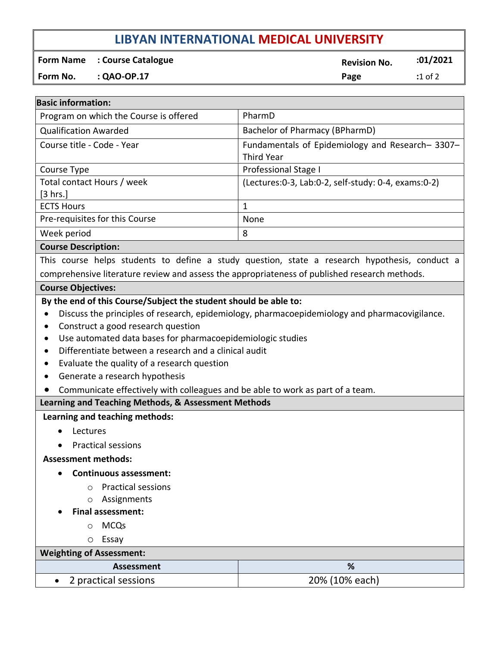# **LIBYAN INTERNATIONAL MEDICAL UNIVERSITY**

**Form Name** : Course Catalogue **Revision No. 201/2021** 

**Form No. : QAO-OP.17 Page :**1 of 2

| <b>Basic information:</b>                                                                                                                                                                                                                                                                                                                 |                                                                                               |  |
|-------------------------------------------------------------------------------------------------------------------------------------------------------------------------------------------------------------------------------------------------------------------------------------------------------------------------------------------|-----------------------------------------------------------------------------------------------|--|
| Program on which the Course is offered                                                                                                                                                                                                                                                                                                    | PharmD                                                                                        |  |
| <b>Qualification Awarded</b>                                                                                                                                                                                                                                                                                                              | Bachelor of Pharmacy (BPharmD)                                                                |  |
| Course title - Code - Year                                                                                                                                                                                                                                                                                                                | Fundamentals of Epidemiology and Research-3307-                                               |  |
|                                                                                                                                                                                                                                                                                                                                           | <b>Third Year</b>                                                                             |  |
| Course Type                                                                                                                                                                                                                                                                                                                               | Professional Stage I                                                                          |  |
| Total contact Hours / week<br>[3 hrs.]                                                                                                                                                                                                                                                                                                    | (Lectures: 0-3, Lab: 0-2, self-study: 0-4, exams: 0-2)                                        |  |
| <b>ECTS Hours</b>                                                                                                                                                                                                                                                                                                                         | $\mathbf{1}$                                                                                  |  |
| Pre-requisites for this Course                                                                                                                                                                                                                                                                                                            | None                                                                                          |  |
| Week period                                                                                                                                                                                                                                                                                                                               | 8                                                                                             |  |
| <b>Course Description:</b>                                                                                                                                                                                                                                                                                                                |                                                                                               |  |
|                                                                                                                                                                                                                                                                                                                                           | This course helps students to define a study question, state a research hypothesis, conduct a |  |
| comprehensive literature review and assess the appropriateness of published research methods.                                                                                                                                                                                                                                             |                                                                                               |  |
| <b>Course Objectives:</b>                                                                                                                                                                                                                                                                                                                 |                                                                                               |  |
| Construct a good research question<br>Use automated data bases for pharmacoepidemiologic studies<br>Differentiate between a research and a clinical audit<br>Evaluate the quality of a research question<br>$\bullet$<br>Generate a research hypothesis<br>Communicate effectively with colleagues and be able to work as part of a team. |                                                                                               |  |
| Learning and Teaching Methods, & Assessment Methods                                                                                                                                                                                                                                                                                       |                                                                                               |  |
| Learning and teaching methods:<br>Lectures<br>$\bullet$<br><b>Practical sessions</b><br><b>Assessment methods:</b>                                                                                                                                                                                                                        |                                                                                               |  |
| <b>Continuous assessment:</b>                                                                                                                                                                                                                                                                                                             |                                                                                               |  |
| <b>Practical sessions</b><br>O<br>Assignments<br>O                                                                                                                                                                                                                                                                                        |                                                                                               |  |
| <b>Final assessment:</b>                                                                                                                                                                                                                                                                                                                  |                                                                                               |  |
| <b>MCQs</b><br>$\circ$                                                                                                                                                                                                                                                                                                                    |                                                                                               |  |
| Essay<br>O                                                                                                                                                                                                                                                                                                                                |                                                                                               |  |
| <b>Weighting of Assessment:</b>                                                                                                                                                                                                                                                                                                           |                                                                                               |  |
| <b>Assessment</b>                                                                                                                                                                                                                                                                                                                         | %                                                                                             |  |
| 2 practical sessions                                                                                                                                                                                                                                                                                                                      | 20% (10% each)                                                                                |  |
|                                                                                                                                                                                                                                                                                                                                           |                                                                                               |  |